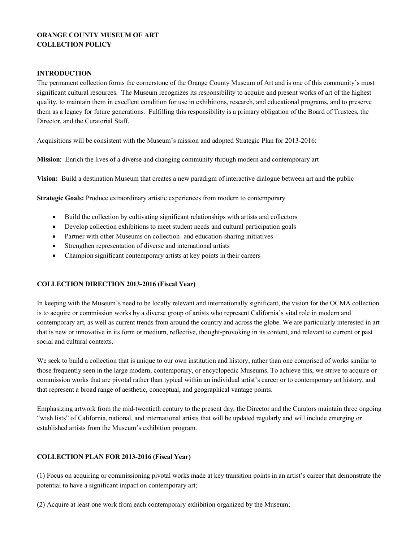# **ORANGE COUNTY MUSEUM OF ART COLLECTION POLICY**

# **INTRODUCTION**

The permanent collection forms the cornerstone of the Orange County Museum of Art and is one of this community's most significant cultural resources. The Museum recognizes its responsibility to acquire and present works of art of the highest quality, to maintain them in excellent condition for use in exhibitions, research, and educational programs, and to preserve them as a legacy for future generations. Fulfilling this responsibility is a primary obligation of the Board of Trustees, the Director, and the Curatorial Staff.

Acquisitions will be consistent with the Museum's mission and adopted Strategic Plan for 2013-2016:

**Mission**: Enrich the lives of a diverse and changing community through modern and contemporary art

**Vision:** Build a destination Museum that creates a new paradigm of interactive dialogue between art and the public

**Strategic Goals:** Produce extraordinary artistic experiences from modern to contemporary

- Build the collection by cultivating significant relationships with artists and collectors
- Develop collection exhibitions to meet student needs and cultural participation goals
- Partner with other Museums on collection- and education-sharing initiatives
- Strengthen representation of diverse and international artists
- Champion significant contemporary artists at key points in their careers

# **COLLECTION DIRECTION 2013-2016 (Fiscal Year)**

In keeping with the Museum's need to be locally relevant and internationally significant, the vision for the OCMA collection is to acquire or commission works by a diverse group of artists who represent California's vital role in modern and contemporary art, as well as current trends from around the country and across the globe. We are particularly interested in art that is new or innovative in its form or medium, reflective, thought-provoking in its content, and relevant to current or past social and cultural contexts.

We seek to build a collection that is unique to our own institution and history, rather than one comprised of works similar to those frequently seen in the large modern, contemporary, or encyclopedic Museums. To achieve this, we strive to acquire or commission works that are pivotal rather than typical within an individual artist's career or to contemporary art history, and that represent a broad range of aesthetic, conceptual, and geographical vantage points.

Emphasizing artwork from the mid-twentieth century to the present day, the Director and the Curators maintain three ongoing "wish lists" of California, national, and international artists that will be updated regularly and will include emerging or established artists from the Museum's exhibition program.

## **COLLECTION PLAN FOR 2013-2016 (Fiscal Year)**

(1) Focus on acquiring or commissioning pivotal works made at key transition points in an artist's career that demonstrate the potential to have a significant impact on contemporary art;

(2) Acquire at least one work from each contemporary exhibition organized by the Museum;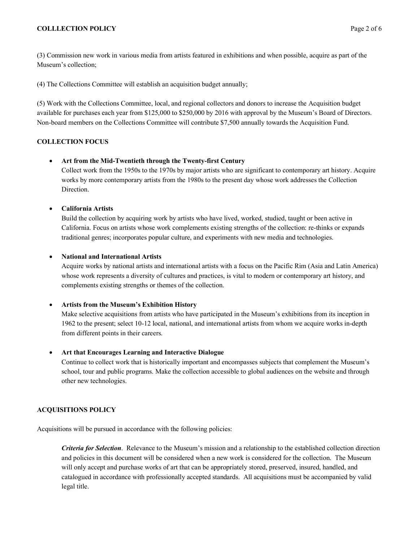# **COLLLECTION POLICY** Page 2 of 6

(3) Commission new work in various media from artists featured in exhibitions and when possible, acquire as part of the Museum's collection;

(4) The Collections Committee will establish an acquisition budget annually;

(5) Work with the Collections Committee, local, and regional collectors and donors to increase the Acquisition budget available for purchases each year from \$125,000 to \$250,000 by 2016 with approval by the Museum's Board of Directors. Non-board members on the Collections Committee will contribute \$7,500 annually towards the Acquisition Fund.

# **COLLECTION FOCUS**

# • **Art from the Mid-Twentieth through the Twenty-first Century**

Collect work from the 1950s to the 1970s by major artists who are significant to contemporary art history. Acquire works by more contemporary artists from the 1980s to the present day whose work addresses the Collection Direction.

# • **California Artists**

Build the collection by acquiring work by artists who have lived, worked, studied, taught or been active in California. Focus on artists whose work complements existing strengths of the collection: re-thinks or expands traditional genres; incorporates popular culture, and experiments with new media and technologies.

# • **National and International Artists**

Acquire works by national artists and international artists with a focus on the Pacific Rim (Asia and Latin America) whose work represents a diversity of cultures and practices, is vital to modern or contemporary art history, and complements existing strengths or themes of the collection.

## • **Artists from the Museum's Exhibition History**

Make selective acquisitions from artists who have participated in the Museum's exhibitions from its inception in 1962 to the present; select 10-12 local, national, and international artists from whom we acquire works in-depth from different points in their careers.

## • **Art that Encourages Learning and Interactive Dialogue**

Continue to collect work that is historically important and encompasses subjects that complement the Museum's school, tour and public programs. Make the collection accessible to global audiences on the website and through other new technologies.

# **ACQUISITIONS POLICY**

Acquisitions will be pursued in accordance with the following policies:

*Criteria for Selection*. Relevance to the Museum's mission and a relationship to the established collection direction and policies in this document will be considered when a new work is considered for the collection. The Museum will only accept and purchase works of art that can be appropriately stored, preserved, insured, handled, and catalogued in accordance with professionally accepted standards. All acquisitions must be accompanied by valid legal title.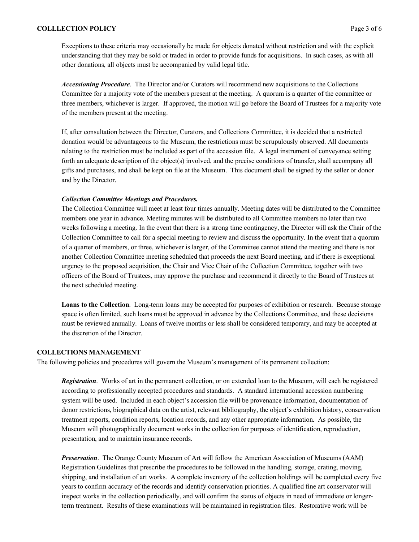#### **COLLLECTION POLICY** Page 3 of 6

Exceptions to these criteria may occasionally be made for objects donated without restriction and with the explicit understanding that they may be sold or traded in order to provide funds for acquisitions. In such cases, as with all other donations, all objects must be accompanied by valid legal title.

*Accessioning Procedure*. The Director and/or Curators will recommend new acquisitions to the Collections Committee for a majority vote of the members present at the meeting.A quorum is a quarter of the committee or three members, whichever is larger. If approved, the motion will go before the Board of Trustees for a majority vote of the members present at the meeting.

If, after consultation between the Director, Curators, and Collections Committee, it is decided that a restricted donation would be advantageous to the Museum, the restrictions must be scrupulously observed. All documents relating to the restriction must be included as part of the accession file. A legal instrument of conveyance setting forth an adequate description of the object(s) involved, and the precise conditions of transfer, shall accompany all gifts and purchases, and shall be kept on file at the Museum. This document shall be signed by the seller or donor and by the Director.

## *Collection Committee Meetings and Procedures.*

The Collection Committee will meet at least four times annually. Meeting dates will be distributed to the Committee members one year in advance. Meeting minutes will be distributed to all Committee members no later than two weeks following a meeting. In the event that there is a strong time contingency, the Director will ask the Chair of the Collection Committee to call for a special meeting to review and discuss the opportunity. In the event that a quorum of a quarter of members, or three, whichever is larger, of the Committee cannot attend the meeting and there is not another Collection Committee meeting scheduled that proceeds the next Board meeting, and if there is exceptional urgency to the proposed acquisition, the Chair and Vice Chair of the Collection Committee, together with two officers of the Board of Trustees, may approve the purchase and recommend it directly to the Board of Trustees at the next scheduled meeting.

**Loans to the Collection**. Long-term loans may be accepted for purposes of exhibition or research. Because storage space is often limited, such loans must be approved in advance by the Collections Committee, and these decisions must be reviewed annually. Loans of twelve months or less shall be considered temporary, and may be accepted at the discretion of the Director.

## **COLLECTIONS MANAGEMENT**

The following policies and procedures will govern the Museum's management of its permanent collection:

*Registration*. Works of art in the permanent collection, or on extended loan to the Museum, will each be registered according to professionally accepted procedures and standards. A standard international accession numbering system will be used. Included in each object's accession file will be provenance information, documentation of donor restrictions, biographical data on the artist, relevant bibliography, the object's exhibition history, conservation treatment reports, condition reports, location records, and any other appropriate information. As possible, the Museum will photographically document works in the collection for purposes of identification, reproduction, presentation, and to maintain insurance records.

*Preservation*. The Orange County Museum of Art will follow the American Association of Museums (AAM) Registration Guidelines that prescribe the procedures to be followed in the handling, storage, crating, moving, shipping, and installation of art works. A complete inventory of the collection holdings will be completed every five years to confirm accuracy of the records and identify conservation priorities. A qualified fine art conservator will inspect works in the collection periodically, and will confirm the status of objects in need of immediate or longerterm treatment. Results of these examinations will be maintained in registration files. Restorative work will be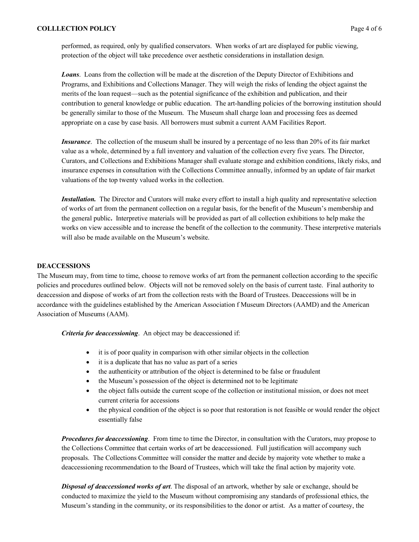performed, as required, only by qualified conservators. When works of art are displayed for public viewing, protection of the object will take precedence over aesthetic considerations in installation design.

*Loans*. Loans from the collection will be made at the discretion of the Deputy Director of Exhibitions and Programs, and Exhibitions and Collections Manager. They will weigh the risks of lending the object against the merits of the loan request—such as the potential significance of the exhibition and publication, and their contribution to general knowledge or public education. The art-handling policies of the borrowing institution should be generally similar to those of the Museum. The Museum shall charge loan and processing fees as deemed appropriate on a case by case basis. All borrowers must submit a current AAM Facilities Report.

*Insurance*. The collection of the museum shall be insured by a percentage of no less than 20% of its fair market value as a whole, determined by a full inventory and valuation of the collection every five years. The Director, Curators, and Collections and Exhibitions Manager shall evaluate storage and exhibition conditions, likely risks, and insurance expenses in consultation with the Collections Committee annually, informed by an update of fair market valuations of the top twenty valued works in the collection.

*Installation.* The Director and Curators will make every effort to install a high quality and representative selection of works of art from the permanent collection on a regular basis, for the benefit of the Museum's membership and the general public**.** Interpretive materials will be provided as part of all collection exhibitions to help make the works on view accessible and to increase the benefit of the collection to the community. These interpretive materials will also be made available on the Museum's website.

## **DEACCESSIONS**

The Museum may, from time to time, choose to remove works of art from the permanent collection according to the specific policies and procedures outlined below. Objects will not be removed solely on the basis of current taste. Final authority to deaccession and dispose of works of art from the collection rests with the Board of Trustees. Deaccessions will be in accordance with the guidelines established by the American Association f Museum Directors (AAMD) and the American Association of Museums (AAM).

*Criteria for deaccessioning*. An object may be deaccessioned if:

- it is of poor quality in comparison with other similar objects in the collection
- it is a duplicate that has no value as part of a series
- the authenticity or attribution of the object is determined to be false or fraudulent
- the Museum's possession of the object is determined not to be legitimate
- the object falls outside the current scope of the collection or institutional mission, or does not meet current criteria for accessions
- the physical condition of the object is so poor that restoration is not feasible or would render the object essentially false

*Procedures for deaccessioning*. From time to time the Director, in consultation with the Curators, may propose to the Collections Committee that certain works of art be deaccessioned. Full justification will accompany such proposals. The Collections Committee will consider the matter and decide by majority vote whether to make a deaccessioning recommendation to the Board of Trustees, which will take the final action by majority vote.

*Disposal of deaccessioned works of art*. The disposal of an artwork, whether by sale or exchange, should be conducted to maximize the yield to the Museum without compromising any standards of professional ethics, the Museum's standing in the community, or its responsibilities to the donor or artist. As a matter of courtesy, the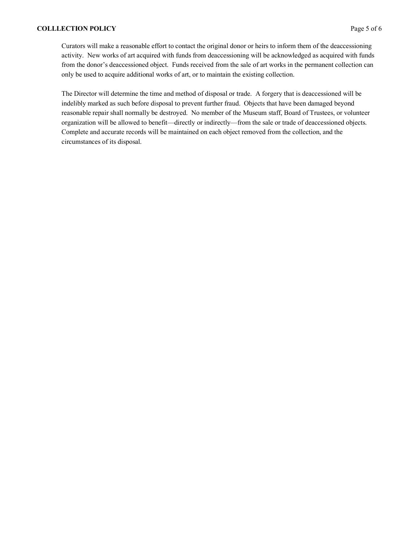Curators will make a reasonable effort to contact the original donor or heirs to inform them of the deaccessioning activity. New works of art acquired with funds from deaccessioning will be acknowledged as acquired with funds from the donor's deaccessioned object. Funds received from the sale of art works in the permanent collection can only be used to acquire additional works of art, or to maintain the existing collection.

The Director will determine the time and method of disposal or trade. A forgery that is deaccessioned will be indelibly marked as such before disposal to prevent further fraud. Objects that have been damaged beyond reasonable repair shall normally be destroyed. No member of the Museum staff, Board of Trustees, or volunteer organization will be allowed to benefit—directly or indirectly—from the sale or trade of deaccessioned objects. Complete and accurate records will be maintained on each object removed from the collection, and the circumstances of its disposal.